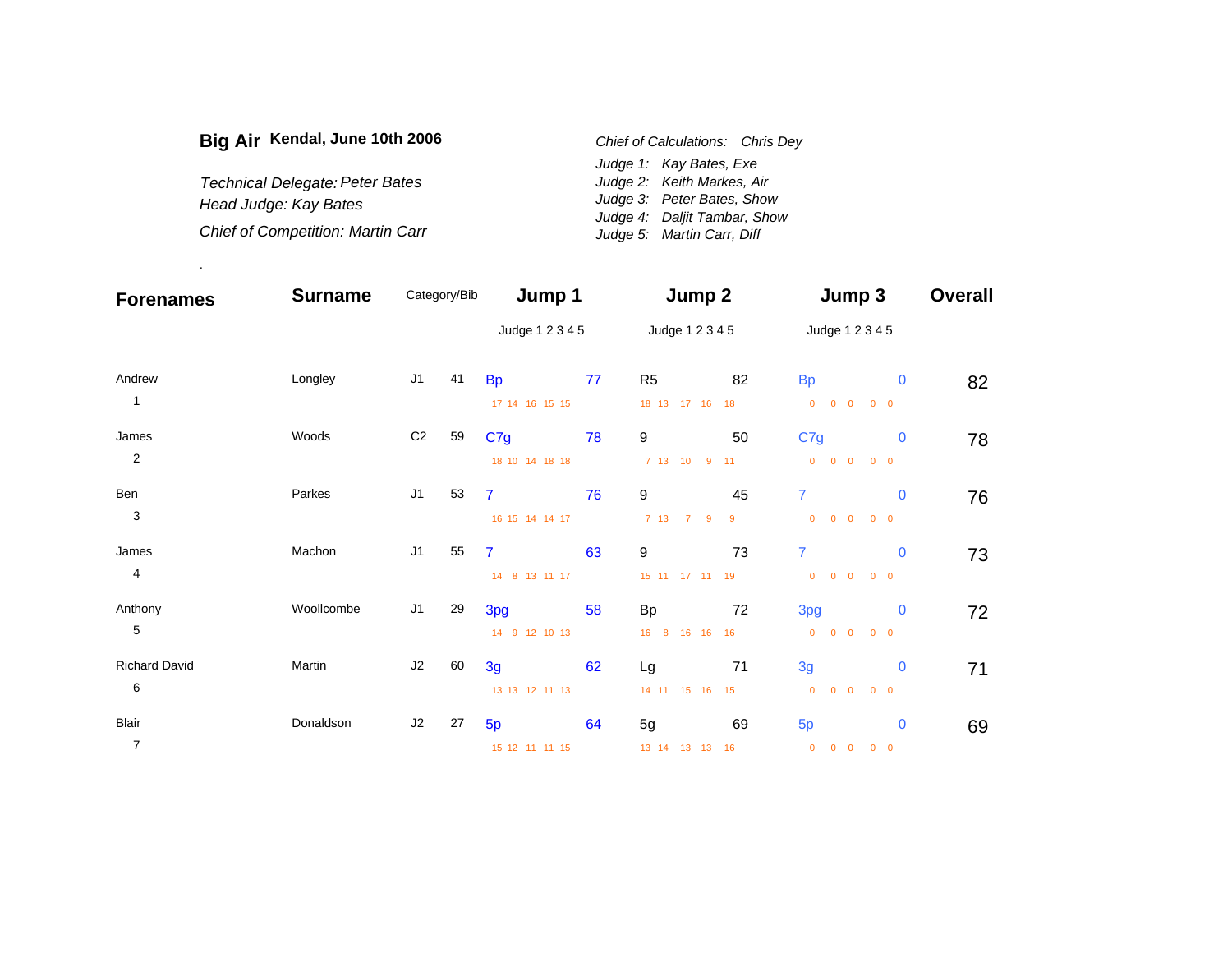| Big Air Kendal, June 10th 2006           | Chief of Calculations: Chris Dev |  |  |  |  |
|------------------------------------------|----------------------------------|--|--|--|--|
|                                          | Judge 1: Kay Bates, Exe          |  |  |  |  |
| Technical Delegate: Peter Bates          | Judge 2: Keith Markes, Air       |  |  |  |  |
| Head Judge: Kay Bates                    | Judge 3: Peter Bates, Show       |  |  |  |  |
|                                          | Judge 4: Daljit Tambar, Show     |  |  |  |  |
| <b>Chief of Competition: Martin Carr</b> | Judge 5: Martin Carr, Diff       |  |  |  |  |

.

| <b>Forenames</b>        | <b>Surname</b> |                | Category/Bib | Jump 1          |    | Jump 2          |    | Jump 3                                       | <b>Overall</b> |
|-------------------------|----------------|----------------|--------------|-----------------|----|-----------------|----|----------------------------------------------|----------------|
|                         |                |                |              | Judge 1 2 3 4 5 |    | Judge 1 2 3 4 5 |    | Judge 1 2 3 4 5                              |                |
| Andrew                  | Longley        | J <sub>1</sub> | 41           | <b>Bp</b>       | 77 | R <sub>5</sub>  | 82 | <b>Bp</b><br>$\mathbf 0$                     | 82             |
| $\mathbf{1}$            |                |                |              | 17 14 16 15 15  |    | 18 13 17 16 18  |    | $0\quad 0$<br>$\overline{0}$<br>$0\quad 0$   |                |
| James                   | Woods          | $\mathbb{C}2$  | 59           | C7g             | 78 | 9               | 50 | C7g<br>$\mathbf 0$                           | 78             |
| $\sqrt{2}$              |                |                |              | 18 10 14 18 18  |    | 7 13 10 9       | 11 | $0$ 0 0<br>$0\quad 0$                        |                |
| Ben                     | Parkes         | J <sub>1</sub> | 53           | $\overline{7}$  | 76 | 9               | 45 | 7<br>$\mathbf 0$                             | 76             |
| $\mathbf{3}$            |                |                |              | 16 15 14 14 17  |    | 7 13 7 9        | 9  | $\overline{0}$<br>$0\quad 0$<br>$0\quad 0$   |                |
| James                   | Machon         | J <sub>1</sub> | 55           | $\overline{7}$  | 63 | 9               | 73 | $\overline{7}$<br>$\mathbf 0$                | 73             |
| $\overline{\mathbf{4}}$ |                |                |              | 14 8 13 11 17   |    | 15 11 17 11 19  |    | $0 \quad 0$<br>$\overline{0}$<br>$0\quad 0$  |                |
| Anthony                 | Woollcombe     | J <sub>1</sub> | 29           | 3pg             | 58 | <b>Bp</b>       | 72 | 3pg<br>$\mathbf 0$                           | 72             |
| 5                       |                |                |              | 14 9 12 10 13   |    | 16 8 16 16 16   |    | $\overline{0}$<br>$0 \quad 0$<br>$0 \quad 0$ |                |
| <b>Richard David</b>    | Martin         | J2             | 60           | 3g              | 62 | Lg              | 71 | 3g<br>$\mathbf 0$                            | 71             |
| $\,6$                   |                |                |              | 13 13 12 11 13  |    | 14 11 15 16 15  |    | $\overline{0}$<br>$0\quad 0$<br>$0\quad 0$   |                |
| Blair                   | Donaldson      | J2             | 27           | 5p              | 64 | 5g              | 69 | $\mathbf 0$<br>5p                            | 69             |
| $\overline{7}$          |                |                |              | 15 12 11 11 15  |    | 13 14 13 13     | 16 | $0\quad 0$<br>$0\quad 0$<br>$\overline{0}$   |                |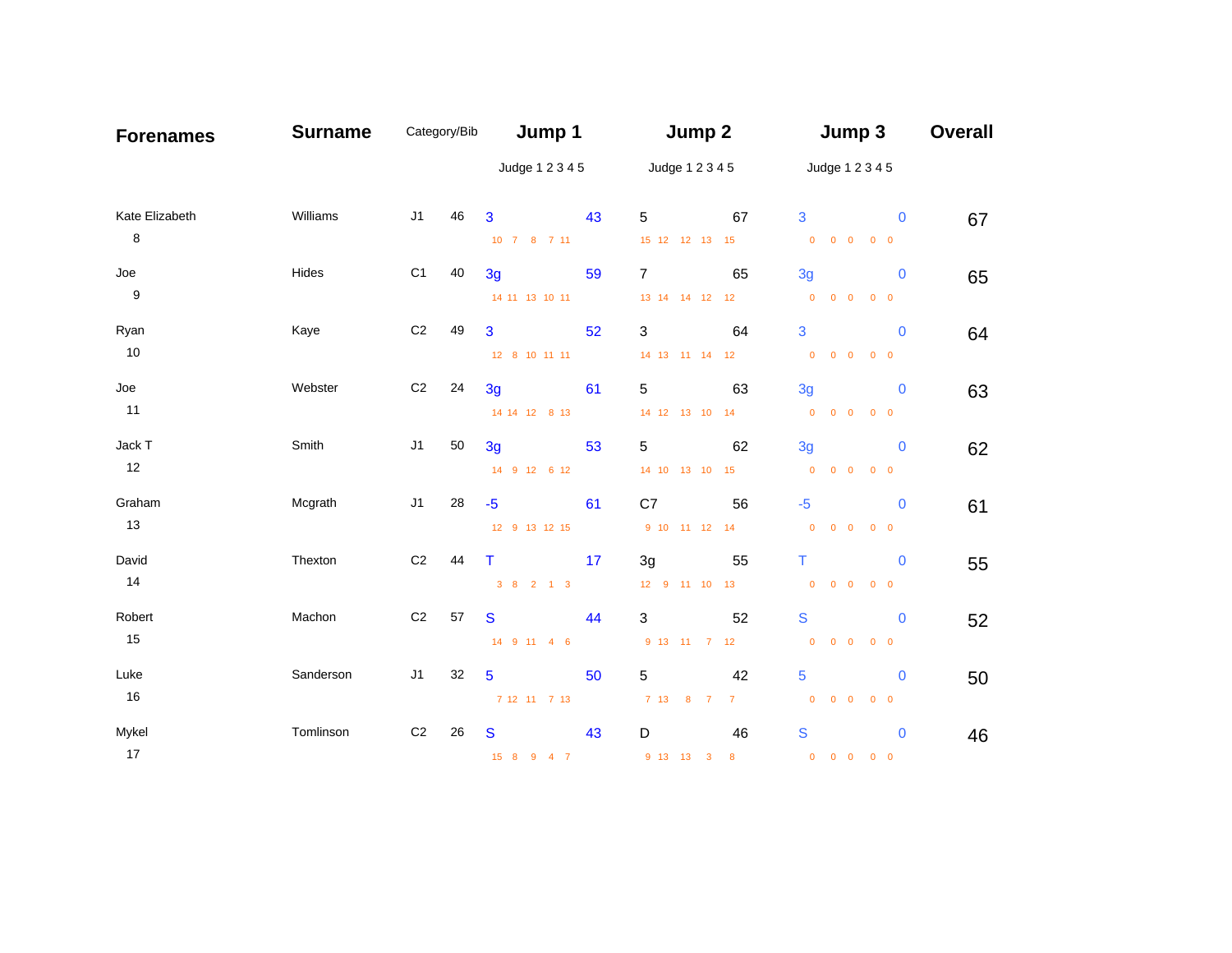| <b>Forenames</b> | <b>Surname</b> |                | Category/Bib | Jump 1          |                                 | Jump 2                     |    | Jump 3                                                                                   | <b>Overall</b>       |
|------------------|----------------|----------------|--------------|-----------------|---------------------------------|----------------------------|----|------------------------------------------------------------------------------------------|----------------------|
|                  |                |                |              |                 | Judge 1 2 3 4 5 Judge 1 2 3 4 5 |                            |    | Judge 1 2 3 4 5                                                                          |                      |
| Kate Elizabeth   | Williams       | J1             | 46           | $\mathbf{3}$    | 43                              | 5                          | 67 | 3<br>$\overline{0}$                                                                      | 67                   |
| $\boldsymbol{8}$ |                |                |              | 10 7 8 7 11     |                                 | 15 12 12 13 15             |    |                                                                                          |                      |
| Joe              | Hides          | C1             | 40           | 3g              | 59                              | $\overline{7}$             | 65 | 3g<br>$\overline{\phantom{0}}$                                                           | 65                   |
| $9\,$            |                |                |              | 14 11 13 10 11  |                                 | 13 14 14 12 12             |    |                                                                                          |                      |
| Ryan             | Kaye           | C <sub>2</sub> | 49           | $\mathbf{3}$    | 52                              | 3                          | 64 | 3                                                                                        | 64<br>$\mathbf{0}$   |
| 10               |                |                |              | 12 8 10 11 11   |                                 | 14    13    11    14    12 |    | $\begin{array}{ccccccccccccccccc} 0 & 0 & 0 & 0 & 0 & 0 \end{array}$                     |                      |
| Joe              | Webster        | C <sub>2</sub> | 24           | 3g              | 61                              | 5                          | 63 | 3g                                                                                       | $\mathbf 0$<br>63    |
| 11               |                |                |              | 14 14 12 8 13   |                                 | 14 12 13 10 14             |    |                                                                                          |                      |
| Jack T           | Smith          | J1             | 50           | 3 <sub>q</sub>  | 53                              | 5                          | 62 | 3g<br>$\overline{0}$                                                                     | 62                   |
| 12               |                |                |              | 14 9 12 6 12    |                                 | 14 10 13 10 15             |    |                                                                                          |                      |
| Graham           | Mcgrath        | J1             | 28           | $-5$            | 61                              | C7                         | 56 | $-5$                                                                                     | $\mathbf{0}$<br>61   |
| 13               |                |                |              | 12 9 13 12 15   |                                 | 9 10 11 12 14              |    | $\begin{array}{ccccccccccccccccc} 0 & 0 & 0 & 0 & 0 & 0 \end{array}$                     |                      |
| David            | Thexton        | C <sub>2</sub> | 44           | $\top$          | 17                              | 3g                         | 55 | T.                                                                                       | $\mathbf{0}$<br>55   |
| 14               |                |                |              | 3 8 2 1 3       |                                 | 12 9 11 10 13              |    | $\begin{array}{ccccccccccccccccc} & & & & & & 0 & & 0 & & 0 & & 0 & & 0 & & \end{array}$ |                      |
| Robert           | Machon         | C <sub>2</sub> | 57           | <sub>S</sub>    | 44                              | 3                          | 52 | S                                                                                        | $\overline{0}$<br>52 |
| 15               |                |                |              | 14 9 11 4 6     |                                 | 9 13 11 7 12               |    | $\begin{array}{ccccccccccccc} & & & & & & 0 & & 0 & & 0 & & 0 & & 0 & & \end{array}$     |                      |
| Luke             | Sanderson      | J1             | 32           | $5\phantom{.0}$ | 50                              | 5                          | 42 | 5                                                                                        | $\mathbf 0$<br>50    |
| 16               |                |                |              | 7 12 11 7 13    |                                 | 7 13 8 7 7                 |    | $\begin{array}{ccccccccccccccccc} 0 & 0 & 0 & 0 & 0 & 0 & \end{array}$                   |                      |
| Mykel            | Tomlinson      | C <sub>2</sub> | 26           | <sub>S</sub>    | 43                              | D                          | 46 | S                                                                                        | $\mathbf 0$<br>46    |
| 17               |                |                |              | 15 8 9 4 7      |                                 | 9 13 13 3 8                |    | 0 0 0 0 0                                                                                |                      |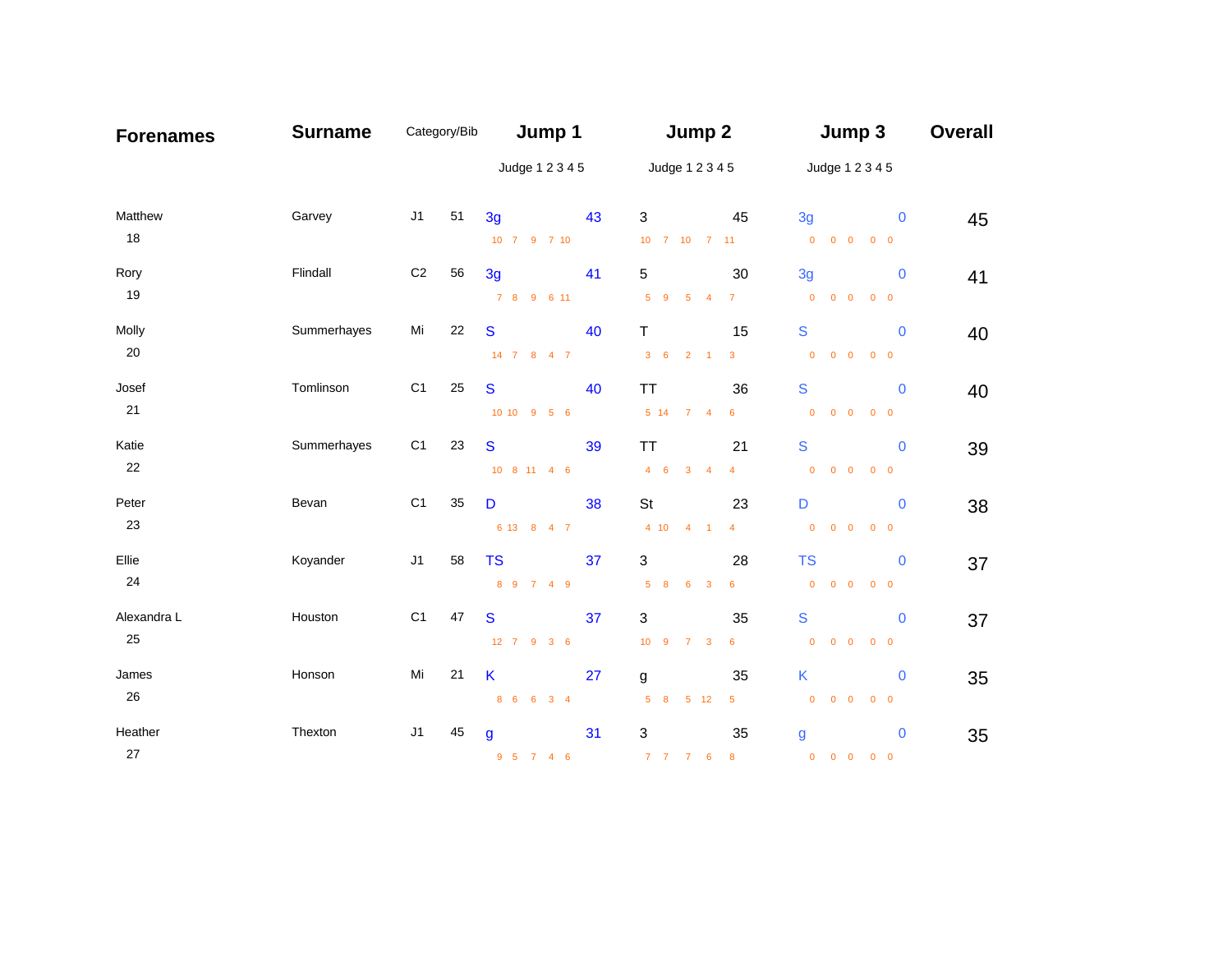| <b>Forenames</b>  | <b>Surname</b> | Category/Bib   |    | Jump 1                      |    | Jump 2                                         |                               | Jump 3                                                                                            | <b>Overall</b> |
|-------------------|----------------|----------------|----|-----------------------------|----|------------------------------------------------|-------------------------------|---------------------------------------------------------------------------------------------------|----------------|
|                   |                |                |    | Judge 1 2 3 4 5             |    | Judge 1 2 3 4 5                                |                               | Judge 1 2 3 4 5                                                                                   |                |
| Matthew<br>18     | Garvey         | J1             | 51 | 3g<br>10 7 9 7 10           | 43 | 3<br>10 7 10 7 11                              | 45                            | 3g<br>$\overline{0}$                                                                              | 45             |
| Rory<br>19        | Flindall       | C <sub>2</sub> | 56 | 3g<br>7 8 9 6 11            | 41 | $5\phantom{.0}$<br>$5 \quad 9 \quad 5 \quad 4$ | 30<br>$\overline{7}$          | 3g<br>$\mathbf 0$<br>0 0 0 0 0                                                                    | 41             |
| Molly<br>20       | Summerhayes    | Mi             | 22 | S<br>14 7 8 4 7             | 40 | $\mathsf{T}$<br>$3\quad 6\quad 2\quad 1$       | 15<br>$\overline{\mathbf{3}}$ | S<br>$\mathbf{0}$<br>$\begin{matrix} 0 & 0 & 0 & 0 & 0 \end{matrix}$                              | 40             |
| Josef<br>21       | Tomlinson      | C <sub>1</sub> | 25 | <sub>S</sub><br>10 10 9 5 6 | 40 | <b>TT</b><br>$5 \t14 \t7 \t4$                  | 36<br>$6\overline{6}$         | S<br>$\mathbf 0$<br>$\begin{array}{ccccccccccccccccc} 0 & 0 & 0 & 0 & 0 & 0 \end{array}$          | 40             |
| Katie<br>22       | Summerhayes    | C <sub>1</sub> | 23 | S<br>10 8 11 4 6            | 39 | TT<br>4  6  3  4  4                            | 21                            | S<br>$\mathbf 0$<br>$\begin{array}{ccccccccccccccccc} 0 & 0 & 0 & 0 & 0 & 0 \end{array}$          | 39             |
| Peter<br>23       | Bevan          | C <sub>1</sub> | 35 | D<br>6 13 8 4 7             | 38 | St<br>$4$ 10 $4$ 1                             | 23<br>$\overline{4}$          | D<br>$\mathbf{0}$<br>$\begin{matrix} 0 & 0 & 0 & 0 & 0 \end{matrix}$                              | 38             |
| Ellie<br>24       | Koyander       | J1             | 58 | <b>TS</b><br>8 9 7 4 9      | 37 | 3<br>$5 \quad 8 \quad 6 \quad 3$               | 28<br>$6\overline{6}$         | <b>TS</b><br>$\mathbf{0}$<br>$\begin{array}{ccccccccccccccccc} 0 & 0 & 0 & 0 & 0 & 0 \end{array}$ | 37             |
| Alexandra L<br>25 | Houston        | C <sub>1</sub> | 47 | <sub>S</sub><br>12 7 9 3 6  | 37 | $\mathbf{3}$<br>10 9 7 3 6                     | 35                            | S<br>$\mathbf 0$<br>$\begin{array}{ccccccccccccccccc} 0 & 0 & 0 & 0 & 0 & 0 \end{array}$          | 37             |
| James<br>26       | Honson         | Mi             | 21 | K<br>8 6 6 3 4              | 27 | g<br>5 8 5 12 5                                | 35                            | K<br>$\mathbf 0$<br>$\begin{array}{ccccccccccccccccc} 0 & 0 & 0 & 0 & 0 & 0 \end{array}$          | 35             |
| Heather<br>27     | Thexton        | J1             | 45 | $\mathbf{g}$<br>9 5 7 4 6   | 31 | 3<br>7 7 7 6 8                                 | 35                            | $\bf{0}$<br>g<br>0 0 0 0 0                                                                        | 35             |